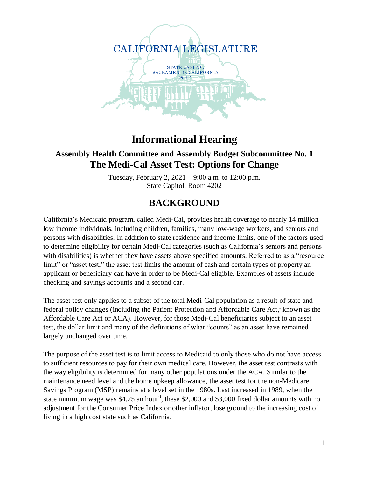

# **Informational Hearing**

#### **Assembly Health Committee and Assembly Budget Subcommittee No. 1 The Medi-Cal Asset Test: Options for Change**

Tuesday, February 2, 2021 – 9:00 a.m. to 12:00 p.m. State Capitol, Room 4202

## **BACKGROUND**

California's Medicaid program, called Medi-Cal, provides health coverage to nearly 14 million low income individuals, including children, families, many low-wage workers, and seniors and persons with disabilities. In addition to state residence and income limits, one of the factors used to determine eligibility for certain Medi-Cal categories (such as California's seniors and persons with disabilities) is whether they have assets above specified amounts. Referred to as a "resource limit" or "asset test," the asset test limits the amount of cash and certain types of property an applicant or beneficiary can have in order to be Medi-Cal eligible. Examples of assets include checking and savings accounts and a second car.

The asset test only applies to a subset of the total Medi-Cal population as a result of state and federal policy changes (including the Patient Protection and Affordable Care Act,<sup>i</sup> known as the Affordable Care Act or ACA). However, for those Medi-Cal beneficiaries subject to an asset test, the dollar limit and many of the definitions of what "counts" as an asset have remained largely unchanged over time.

The purpose of the asset test is to limit access to Medicaid to only those who do not have access to sufficient resources to pay for their own medical care. However, the asset test contrasts with the way eligibility is determined for many other populations under the ACA. Similar to the maintenance need level and the home upkeep allowance, the asset test for the non-Medicare Savings Program (MSP) remains at a level set in the 1980s. Last increased in 1989, when the state minimum wage was  $$4.25$  an hour<sup>ii</sup>, these  $$2,000$  and  $$3,000$  fixed dollar amounts with no adjustment for the Consumer Price Index or other inflator, lose ground to the increasing cost of living in a high cost state such as California.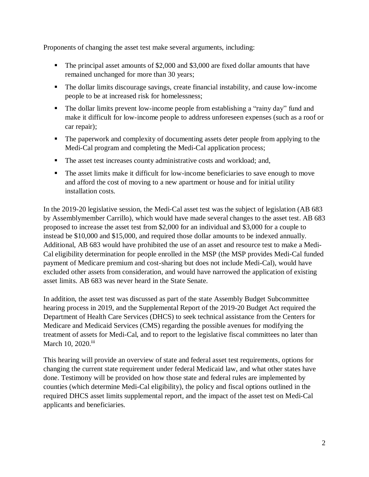Proponents of changing the asset test make several arguments, including:

- The principal asset amounts of \$2,000 and \$3,000 are fixed dollar amounts that have remained unchanged for more than 30 years;
- The dollar limits discourage savings, create financial instability, and cause low-income people to be at increased risk for homelessness;
- The dollar limits prevent low-income people from establishing a "rainy day" fund and make it difficult for low-income people to address unforeseen expenses (such as a roof or car repair);
- The paperwork and complexity of documenting assets deter people from applying to the Medi-Cal program and completing the Medi-Cal application process;
- The asset test increases county administrative costs and workload; and,
- The asset limits make it difficult for low-income beneficiaries to save enough to move and afford the cost of moving to a new apartment or house and for initial utility installation costs.

In the 2019-20 legislative session, the Medi-Cal asset test was the subject of legislation (AB 683 by Assemblymember Carrillo), which would have made several changes to the asset test. AB 683 proposed to increase the asset test from \$2,000 for an individual and \$3,000 for a couple to instead be \$10,000 and \$15,000, and required those dollar amounts to be indexed annually. Additional, AB 683 would have prohibited the use of an asset and resource test to make a Medi-Cal eligibility determination for people enrolled in the MSP (the MSP provides Medi-Cal funded payment of Medicare premium and cost-sharing but does not include Medi-Cal), would have excluded other assets from consideration, and would have narrowed the application of existing asset limits. AB 683 was never heard in the State Senate.

In addition, the asset test was discussed as part of the state Assembly Budget Subcommittee hearing process in 2019, and the Supplemental Report of the 2019-20 Budget Act required the Department of Health Care Services (DHCS) to seek technical assistance from the Centers for Medicare and Medicaid Services (CMS) regarding the possible avenues for modifying the treatment of assets for Medi-Cal, and to report to the legislative fiscal committees no later than March 10, 2020.iii

This hearing will provide an overview of state and federal asset test requirements, options for changing the current state requirement under federal Medicaid law, and what other states have done. Testimony will be provided on how those state and federal rules are implemented by counties (which determine Medi-Cal eligibility), the policy and fiscal options outlined in the required DHCS asset limits supplemental report, and the impact of the asset test on Medi-Cal applicants and beneficiaries.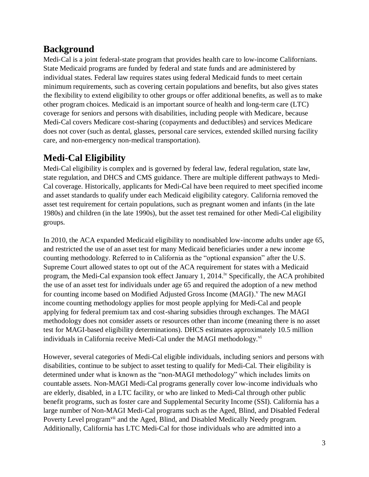## **Background**

Medi-Cal is a joint federal-state program that provides health care to low-income Californians. State Medicaid programs are funded by federal and state funds and are administered by individual states. Federal law requires states using federal Medicaid funds to meet certain minimum requirements, such as covering certain populations and benefits, but also gives states the flexibility to extend eligibility to other groups or offer additional benefits, as well as to make other program choices. Medicaid is an important source of health and long-term care (LTC) coverage for seniors and persons with disabilities, including people with Medicare, because Medi-Cal covers Medicare cost-sharing (copayments and deductibles) and services Medicare does not cover (such as dental, glasses, personal care services, extended skilled nursing facility care, and non-emergency non-medical transportation).

## **Medi-Cal Eligibility**

Medi-Cal eligibility is complex and is governed by federal law, federal regulation, state law, state regulation, and DHCS and CMS guidance. There are multiple different pathways to Medi-Cal coverage. Historically, applicants for Medi-Cal have been required to meet specified income and asset standards to qualify under each Medicaid eligibility category. California removed the asset test requirement for certain populations, such as pregnant women and infants (in the late 1980s) and children (in the late 1990s), but the asset test remained for other Medi-Cal eligibility groups.

In 2010, the ACA expanded Medicaid eligibility to nondisabled low-income adults under age 65, and restricted the use of an asset test for many Medicaid beneficiaries under a new income counting methodology. Referred to in California as the "optional expansion" after the U.S. Supreme Court allowed states to opt out of the ACA requirement for states with a Medicaid program, the Medi-Cal expansion took effect January 1, 2014.<sup>iv</sup> Specifically, the ACA prohibited the use of an asset test for individuals under age 65 and required the adoption of a new method for counting income based on Modified Adjusted Gross Income (MAGI).<sup>V</sup> The new MAGI income counting methodology applies for most people applying for Medi-Cal and people applying for federal premium tax and cost-sharing subsidies through exchanges. The MAGI methodology does not consider assets or resources other than income (meaning there is no asset test for MAGI-based eligibility determinations). DHCS estimates approximately 10.5 million individuals in California receive Medi-Cal under the MAGI methodology.<sup>vi</sup>

However, several categories of Medi-Cal eligible individuals, including seniors and persons with disabilities, continue to be subject to asset testing to qualify for Medi-Cal. Their eligibility is determined under what is known as the "non-MAGI methodology" which includes limits on countable assets. Non-MAGI Medi-Cal programs generally cover low-income individuals who are elderly, disabled, in a LTC facility, or who are linked to Medi-Cal through other public benefit programs, such as foster care and Supplemental Security Income (SSI). California has a large number of Non-MAGI Medi-Cal programs such as the Aged, Blind, and Disabled Federal Poverty Level program<sup>vii</sup> and the Aged, Blind, and Disabled Medically Needy program. Additionally, California has LTC Medi-Cal for those individuals who are admitted into a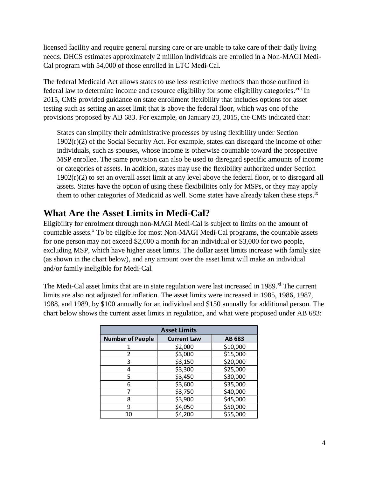licensed facility and require general nursing care or are unable to take care of their daily living needs. DHCS estimates approximately 2 million individuals are enrolled in a Non-MAGI Medi-Cal program with 54,000 of those enrolled in LTC Medi-Cal.

The federal Medicaid Act allows states to use less restrictive methods than those outlined in federal law to determine income and resource eligibility for some eligibility categories.<sup>viii</sup> In 2015, CMS provided guidance on state enrollment flexibility that includes options for asset testing such as setting an asset limit that is above the federal floor, which was one of the provisions proposed by AB 683. For example, on January 23, 2015, the CMS indicated that:

States can simplify their administrative processes by using flexibility under Section  $1902(r)(2)$  of the Social Security Act. For example, states can disregard the income of other individuals, such as spouses, whose income is otherwise countable toward the prospective MSP enrollee. The same provision can also be used to disregard specific amounts of income or categories of assets. In addition, states may use the flexibility authorized under Section  $1902(r)(2)$  to set an overall asset limit at any level above the federal floor, or to disregard all assets. States have the option of using these flexibilities only for MSPs, or they may apply them to other categories of Medicaid as well. Some states have already taken these steps.<sup>ix</sup>

#### **What Are the Asset Limits in Medi-Cal?**

Eligibility for enrolment through non-MAGI Medi-Cal is subject to limits on the amount of countable assets.<sup>x</sup> To be eligible for most Non-MAGI Medi-Cal programs, the countable assets for one person may not exceed \$2,000 a month for an individual or \$3,000 for two people, excluding MSP, which have higher asset limits. The dollar asset limits increase with family size (as shown in the chart below), and any amount over the asset limit will make an individual and/or family ineligible for Medi-Cal.

The Medi-Cal asset limits that are in state regulation were last increased in 1989.<sup>xi</sup> The current limits are also not adjusted for inflation. The asset limits were increased in 1985, 1986, 1987, 1988, and 1989, by \$100 annually for an individual and \$150 annually for additional person. The chart below shows the current asset limits in regulation, and what were proposed under AB 683:

| <b>Asset Limits</b>     |                    |          |  |
|-------------------------|--------------------|----------|--|
| <b>Number of People</b> | <b>Current Law</b> | AB 683   |  |
|                         | \$2,000            | \$10,000 |  |
| 2                       | \$3,000            | \$15,000 |  |
| 3                       | \$3,150            | \$20,000 |  |
| 4                       | \$3,300            | \$25,000 |  |
| 5                       | \$3,450            | \$30,000 |  |
| 6                       | \$3,600            | \$35,000 |  |
|                         | \$3,750            | \$40,000 |  |
| 8                       | \$3,900            | \$45,000 |  |
| 9                       | \$4,050            | \$50,000 |  |
| 10                      | \$4,200            | \$55,000 |  |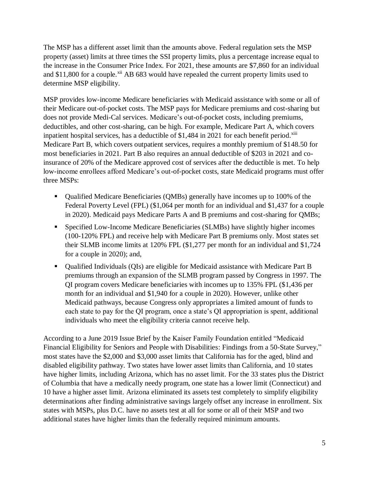The MSP has a different asset limit than the amounts above. Federal regulation sets the MSP property (asset) limits at three times the SSI property limits, plus a percentage increase equal to the increase in the Consumer Price Index. For 2021, these amounts are \$7,860 for an individual and  $$11,800$  for a couple.<sup>xii</sup> AB 683 would have repealed the current property limits used to determine MSP eligibility.

MSP provides low-income Medicare beneficiaries with Medicaid assistance with some or all of their Medicare out-of-pocket costs. The MSP pays for Medicare premiums and cost-sharing but does not provide Medi-Cal services. Medicare's out-of-pocket costs, including premiums, deductibles, and other cost-sharing, can be high. For example, Medicare Part A, which covers inpatient hospital services, has a deductible of \$1,484 in 2021 for each benefit period.<sup>xiii</sup> Medicare Part B, which covers outpatient services, requires a monthly premium of \$148.50 for most beneficiaries in 2021. Part B also requires an annual deductible of \$203 in 2021 and coinsurance of 20% of the Medicare approved cost of services after the deductible is met. To help low-income enrollees afford Medicare's out-of-pocket costs, state Medicaid programs must offer three MSPs:

- Qualified Medicare Beneficiaries (QMBs) generally have incomes up to 100% of the Federal Poverty Level (FPL) (\$1,064 per month for an individual and \$1,437 for a couple in 2020). Medicaid pays Medicare Parts A and B premiums and cost-sharing for QMBs;
- Specified Low-Income Medicare Beneficiaries (SLMBs) have slightly higher incomes (100-120% FPL) and receive help with Medicare Part B premiums only. Most states set their SLMB income limits at 120% FPL (\$1,277 per month for an individual and \$1,724 for a couple in 2020); and,
- Qualified Individuals (QIs) are eligible for Medicaid assistance with Medicare Part B premiums through an expansion of the SLMB program passed by Congress in 1997. The QI program covers Medicare beneficiaries with incomes up to 135% FPL (\$1,436 per month for an individual and \$1,940 for a couple in 2020). However, unlike other Medicaid pathways, because Congress only appropriates a limited amount of funds to each state to pay for the QI program, once a state's QI appropriation is spent, additional individuals who meet the eligibility criteria cannot receive help.

According to a June 2019 Issue Brief by the Kaiser Family Foundation entitled "Medicaid Financial Eligibility for Seniors and People with Disabilities: Findings from a 50-State Survey," most states have the \$2,000 and \$3,000 asset limits that California has for the aged, blind and disabled eligibility pathway. Two states have lower asset limits than California, and 10 states have higher limits, including Arizona, which has no asset limit. For the 33 states plus the District of Columbia that have a medically needy program, one state has a lower limit (Connecticut) and 10 have a higher asset limit. Arizona eliminated its assets test completely to simplify eligibility determinations after finding administrative savings largely offset any increase in enrollment. Six states with MSPs, plus D.C. have no assets test at all for some or all of their MSP and two additional states have higher limits than the federally required minimum amounts.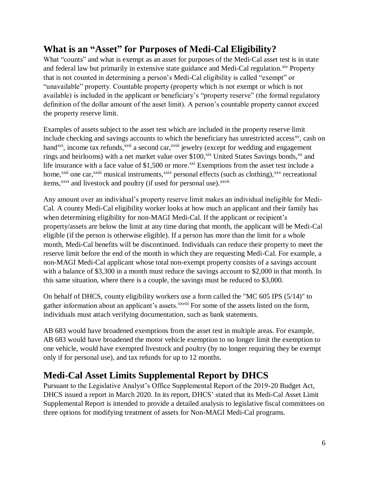## **What is an "Asset" for Purposes of Medi-Cal Eligibility?**

What "counts" and what is exempt as an asset for purposes of the Medi-Cal asset test is in state and federal law but primarily in extensive state guidance and Medi-Cal regulation.<sup>xiv</sup> Property that is not counted in determining a person's Medi-Cal eligibility is called "exempt" or "unavailable" property. Countable property (property which is not exempt or which is not available) is included in the applicant or beneficiary's "property reserve" (the formal regulatory definition of the dollar amount of the asset limit). A person's countable property cannot exceed the property reserve limit.

Examples of assets subject to the asset test which are included in the property reserve limit include checking and savings accounts to which the beneficiary has unrestricted access<sup>xy</sup>, cash on hand<sup>xvi</sup>, income tax refunds,<sup>xvii</sup> a second car,<sup>xviii</sup> jewelry (except for wedding and engagement rings and heirlooms) with a net market value over \$100,<sup>xix</sup> United States Savings bonds,<sup>xx</sup> and life insurance with a face value of \$1,500 or more.<sup>xxi</sup> Exemptions from the asset test include a home,<sup>xxii</sup> one car,<sup>xxiii</sup> musical instruments,<sup>xxiv</sup> personal effects (such as clothing),<sup>xxv</sup> recreational items,<sup>xxvi</sup> and livestock and poultry (if used for personal use).<sup>xxvii</sup>

Any amount over an individual's property reserve limit makes an individual ineligible for Medi-Cal. A county Medi-Cal eligibility worker looks at how much an applicant and their family has when determining eligibility for non-MAGI Medi-Cal. If the applicant or recipient's property/assets are below the limit at any time during that month, the applicant will be Medi-Cal eligible (if the person is otherwise eligible). If a person has more than the limit for a whole month, Medi-Cal benefits will be discontinued. Individuals can reduce their property to meet the reserve limit before the end of the month in which they are requesting Medi-Cal. For example, a non-MAGI Medi-Cal applicant whose total non-exempt property consists of a savings account with a balance of \$3,300 in a month must reduce the savings account to \$2,000 in that month. In this same situation, where there is a couple, the savings must be reduced to \$3,000.

On behalf of DHCS, county eligibility workers use a form called the "MC 605 IPS (5/14)" to gather information about an applicant's assets.<sup>xxviii</sup> For some of the assets listed on the form, individuals must attach verifying documentation, such as bank statements.

AB 683 would have broadened exemptions from the asset test in multiple areas. For example, AB 683 would have broadened the motor vehicle exemption to no longer limit the exemption to one vehicle, would have exempted livestock and poultry (by no longer requiring they be exempt only if for personal use), and tax refunds for up to 12 months.

#### **Medi-Cal Asset Limits Supplemental Report by DHCS**

Pursuant to the Legislative Analyst's Office Supplemental Report of the 2019-20 Budget Act, DHCS issued a report in March 2020. In its report, DHCS' stated that its Medi-Cal Asset Limit Supplemental Report is intended to provide a detailed analysis to legislative fiscal committees on three options for modifying treatment of assets for Non-MAGI Medi-Cal programs.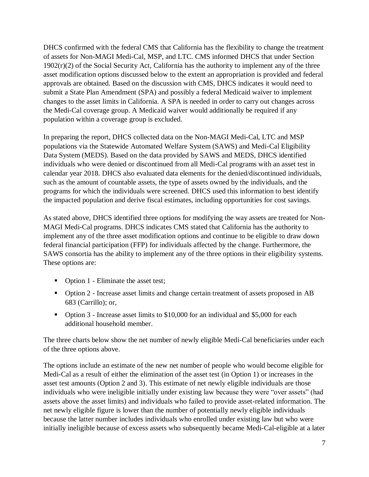DHCS confirmed with the federal CMS that California has the flexibility to change the treatment of assets for Non-MAGI Medi-Cal, MSP, and LTC. CMS informed DHCS that under Section  $1902(r)(2)$  of the Social Security Act, California has the authority to implement any of the three asset modification options discussed below to the extent an appropriation is provided and federal approvals are obtained. Based on the discussion with CMS, DHCS indicates it would need to submit a State Plan Amendment (SPA) and possibly a federal Medicaid waiver to implement changes to the asset limits in California. A SPA is needed in order to carry out changes across the Medi-Cal coverage group. A Medicaid waiver would additionally be required if any population within a coverage group is excluded.

In preparing the report, DHCS collected data on the Non-MAGI Medi-Cal, LTC and MSP populations via the Statewide Automated Welfare System (SAWS) and Medi-Cal Eligibility Data System (MEDS). Based on the data provided by SAWS and MEDS, DHCS identified individuals who were denied or discontinued from all Medi-Cal programs with an asset test in calendar year 2018. DHCS also evaluated data elements for the denied/discontinued individuals, such as the amount of countable assets, the type of assets owned by the individuals, and the programs for which the individuals were screened. DHCS used this information to best identify the impacted population and derive fiscal estimates, including opportunities for cost savings.

As stated above, DHCS identified three options for modifying the way assets are treated for Non-MAGI Medi-Cal programs. DHCS indicates CMS stated that California has the authority to implement any of the three asset modification options and continue to be eligible to draw down federal financial participation (FFP) for individuals affected by the change. Furthermore, the SAWS consortia has the ability to implement any of the three options in their eligibility systems. These options are:

- Option 1 Eliminate the asset test;
- Option 2 Increase asset limits and change certain treatment of assets proposed in AB 683 (Carrillo); or,
- Option 3 Increase asset limits to \$10,000 for an individual and \$5,000 for each additional household member.

The three charts below show the net number of newly eligible Medi-Cal beneficiaries under each of the three options above.

The options include an estimate of the new net number of people who would become eligible for Medi-Cal as a result of either the elimination of the asset test (in Option 1) or increases in the asset test amounts (Option 2 and 3). This estimate of net newly eligible individuals are those individuals who were ineligible initially under existing law because they were "over assets" (had assets above the asset limits) and individuals who failed to provide asset-related information. The net newly eligible figure is lower than the number of potentially newly eligible individuals because the latter number includes individuals who enrolled under existing law but who were initially ineligible because of excess assets who subsequently became Medi-Cal-eligible at a later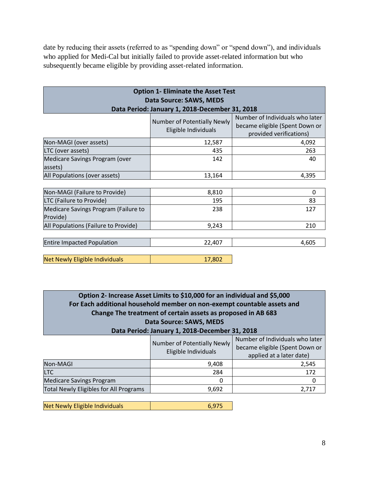date by reducing their assets (referred to as "spending down" or "spend down"), and individuals who applied for Medi-Cal but initially failed to provide asset-related information but who subsequently became eligible by providing asset-related information.

| <b>Option 1- Eliminate the Asset Test</b>        |                                                     |                                                                                              |  |  |
|--------------------------------------------------|-----------------------------------------------------|----------------------------------------------------------------------------------------------|--|--|
| Data Source: SAWS, MEDS                          |                                                     |                                                                                              |  |  |
|                                                  | Data Period: January 1, 2018-December 31, 2018      |                                                                                              |  |  |
|                                                  | Number of Potentially Newly<br>Eligible Individuals | Number of Individuals who later<br>became eligible (Spent Down or<br>provided verifications) |  |  |
| Non-MAGI (over assets)                           | 12,587                                              | 4,092                                                                                        |  |  |
| LTC (over assets)                                | 435                                                 | 263                                                                                          |  |  |
| Medicare Savings Program (over<br>assets)        | 142                                                 | 40                                                                                           |  |  |
| All Populations (over assets)                    | 13,164                                              | 4,395                                                                                        |  |  |
|                                                  |                                                     |                                                                                              |  |  |
| Non-MAGI (Failure to Provide)                    | 8,810                                               | 0                                                                                            |  |  |
| LTC (Failure to Provide)                         | 195                                                 | 83                                                                                           |  |  |
| Medicare Savings Program (Failure to<br>Provide) | 238                                                 | 127                                                                                          |  |  |
| All Populations (Failure to Provide)             | 9,243                                               | 210                                                                                          |  |  |
|                                                  |                                                     |                                                                                              |  |  |
| <b>Entire Impacted Population</b>                | 22,407                                              | 4,605                                                                                        |  |  |
| <b>Net Newly Eligible Individuals</b>            | 17,802                                              |                                                                                              |  |  |

**Option 2- Increase Asset Limits to \$10,000 for an individual and \$5,000 For Each additional household member on non-exempt countable assets and Change The treatment of certain assets as proposed in AB 683 Data Source: SAWS, MEDS Data Period: January 1, 2018-December 31, 2018**

|                                        | Number of Potentially Newly<br>Eligible Individuals | Number of Individuals who later<br>became eligible (Spent Down or<br>applied at a later date) |
|----------------------------------------|-----------------------------------------------------|-----------------------------------------------------------------------------------------------|
| Non-MAGI                               | 9,408                                               | 2,545                                                                                         |
| <b>LTC</b>                             | 284                                                 | 172                                                                                           |
| <b>Medicare Savings Program</b>        |                                                     |                                                                                               |
| Total Newly Eligibles for All Programs | 9,692                                               | 2,717                                                                                         |

| Net Newly Eligible Individuals |  |
|--------------------------------|--|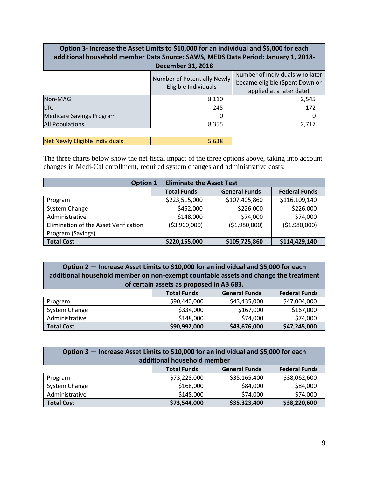#### **Option 3- Increase the Asset Limits to \$10,000 for an individual and \$5,000 for each additional household member Data Source: SAWS, MEDS Data Period: January 1, 2018- December 31, 2018**

|                                 | Number of Potentially Newly<br>Eligible Individuals | Number of Individuals who later<br>became eligible (Spent Down or<br>applied at a later date) |
|---------------------------------|-----------------------------------------------------|-----------------------------------------------------------------------------------------------|
| Non-MAGI                        | 8,110                                               | 2,545                                                                                         |
| <b>LTC</b>                      | 245                                                 | 172                                                                                           |
| <b>Medicare Savings Program</b> |                                                     |                                                                                               |
| <b>All Populations</b>          | 8,355                                               | 2,717                                                                                         |

| Net Newly Eligible Individuals<br>5,638 |
|-----------------------------------------|
|-----------------------------------------|

The three charts below show the net fiscal impact of the three options above, taking into account changes in Medi-Cal enrollment, required system changes and administrative costs:

| Option 1 - Eliminate the Asset Test   |                    |                      |                      |
|---------------------------------------|--------------------|----------------------|----------------------|
|                                       | <b>Total Funds</b> | <b>General Funds</b> | <b>Federal Funds</b> |
| Program                               | \$223,515,000      | \$107,405,860        | \$116,109,140        |
| System Change                         | \$452,000          | \$226,000            | \$226,000            |
| Administrative                        | \$148,000          | \$74,000             | \$74,000             |
| Elimination of the Asset Verification | ( \$3,960,000)     | ( \$1,980,000)       | (\$1,980,000)        |
| Program (Savings)                     |                    |                      |                      |
| <b>Total Cost</b>                     | \$220,155,000      | \$105,725,860        | \$114,429,140        |

**Option 2 — Increase Asset Limits to \$10,000 for an individual and \$5,000 for each additional household member on non-exempt countable assets and change the treatment of certain assets as proposed in AB 683.**

|                   | <b>Total Funds</b> | <b>General Funds</b> | <b>Federal Funds</b> |
|-------------------|--------------------|----------------------|----------------------|
| Program           | \$90,440,000       | \$43,435,000         | \$47,004,000         |
| System Change     | \$334,000          | \$167,000            | \$167,000            |
| Administrative    | \$148,000          | \$74,000             | \$74,000             |
| <b>Total Cost</b> | \$90,992,000       | \$43,676,000         | \$47,245,000         |

| Option 3 - Increase Asset Limits to \$10,000 for an individual and \$5,000 for each |                    |                      |                      |
|-------------------------------------------------------------------------------------|--------------------|----------------------|----------------------|
| additional household member                                                         |                    |                      |                      |
|                                                                                     | <b>Total Funds</b> | <b>General Funds</b> | <b>Federal Funds</b> |
| Program                                                                             | \$73,228,000       | \$35,165,400         | \$38,062,600         |
| System Change                                                                       | \$168,000          | \$84,000             | \$84,000             |
| Administrative                                                                      | \$148,000          | \$74,000             | \$74,000             |
| <b>Total Cost</b>                                                                   | \$73,544,000       | \$35,323,400         | \$38,220,600         |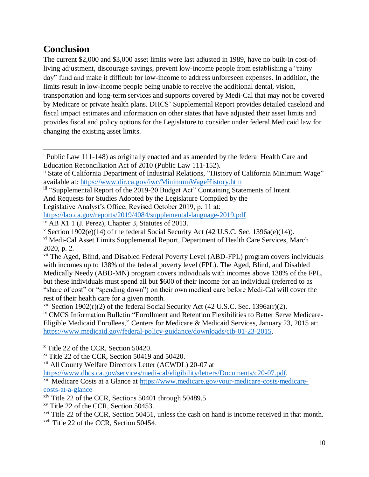## **Conclusion**

The current \$2,000 and \$3,000 asset limits were last adjusted in 1989, have no built-in cost-ofliving adjustment, discourage savings, prevent low-income people from establishing a "rainy day" fund and make it difficult for low-income to address unforeseen expenses. In addition, the limits result in low-income people being unable to receive the additional dental, vision, transportation and long-term services and supports covered by Medi-Cal that may not be covered by Medicare or private health plans. DHCS' Supplemental Report provides detailed caseload and fiscal impact estimates and information on other states that have adjusted their asset limits and provides fiscal and policy options for the Legislature to consider under federal Medicaid law for changing the existing asset limits.

<https://lao.ca.gov/reports/2019/4084/supplemental-language-2019.pdf>

<sup>ix</sup> CMCS Information Bulletin "Enrollment and Retention Flexibilities to Better Serve Medicare-Eligible Medicaid Enrollees," Centers for Medicare & Medicaid Services, January 23, 2015 at: [https://www.medicaid.gov/federal-policy-guidance/downloads/cib-01-23-2015.](https://www.medicaid.gov/federal-policy-guidance/downloads/cib-01-23-2015)

<sup>x</sup> Title 22 of the CCR, Section 50420.

xii All County Welfare Directors Letter (ACWDL) 20-07 at

[https://www.dhcs.ca.gov/services/medi-cal/eligibility/letters/Documents/c20-07.pdf.](https://www.dhcs.ca.gov/services/medi-cal/eligibility/letters/Documents/c20-07.pdf)

xiii Medicare Costs at a Glance at [https://www.medicare.gov/your-medicare-costs/medicare](https://www.medicare.gov/your-medicare-costs/medicare-costs-at-a-glance)[costs-at-a-glance](https://www.medicare.gov/your-medicare-costs/medicare-costs-at-a-glance)

- xiv Title 22 of the CCR, Sections 50401 through 50489.5
- xv Title 22 of the CCR, Section 50453.

 $xvi$  Title 22 of the CCR, Section 50451, unless the cash on hand is income received in that month. xvii Title 22 of the CCR, Section 50454.

<sup>i</sup> Public Law 111-148) as originally enacted and as amended by the federal Health Care and Education Reconciliation Act of 2010 (Public Law 111-152).  $\overline{a}$ 

ii State of California Department of Industrial Relations, "History of California Minimum Wage" available at:<https://www.dir.ca.gov/iwc/MinimumWageHistory.htm>

iii "Supplemental Report of the 2019-20 Budget Act" Containing Statements of Intent And Requests for Studies Adopted by the Legislature Compiled by the Legislative Analyst's Office, Revised October 2019, p. 11 at:

iv AB X1 1 (J. Perez), Chapter 3, Statutes of 2013.

<sup>&</sup>lt;sup>v</sup> Section 1902(e)(14) of the federal Social Security Act (42 U.S.C. Sec. 1396a(e)(14)).

vi Medi-Cal Asset Limits Supplemental Report, Department of Health Care Services, March 2020, p. 2.

<sup>&</sup>lt;sup>vii</sup> The Aged, Blind, and Disabled Federal Poverty Level (ABD-FPL) program covers individuals with incomes up to 138% of the federal poverty level (FPL). The Aged, Blind, and Disabled Medically Needy (ABD-MN) program covers individuals with incomes above 138% of the FPL, but these individuals must spend all but \$600 of their income for an individual (referred to as "share of cost" or "spending down") on their own medical care before Medi-Cal will cover the rest of their health care for a given month.

<sup>&</sup>lt;sup>viii</sup> Section 1902(r)(2) of the federal Social Security Act (42 U.S.C. Sec. 1396a(r)(2).

 $x$ <sup>i</sup> Title 22 of the CCR, Section 50419 and 50420.